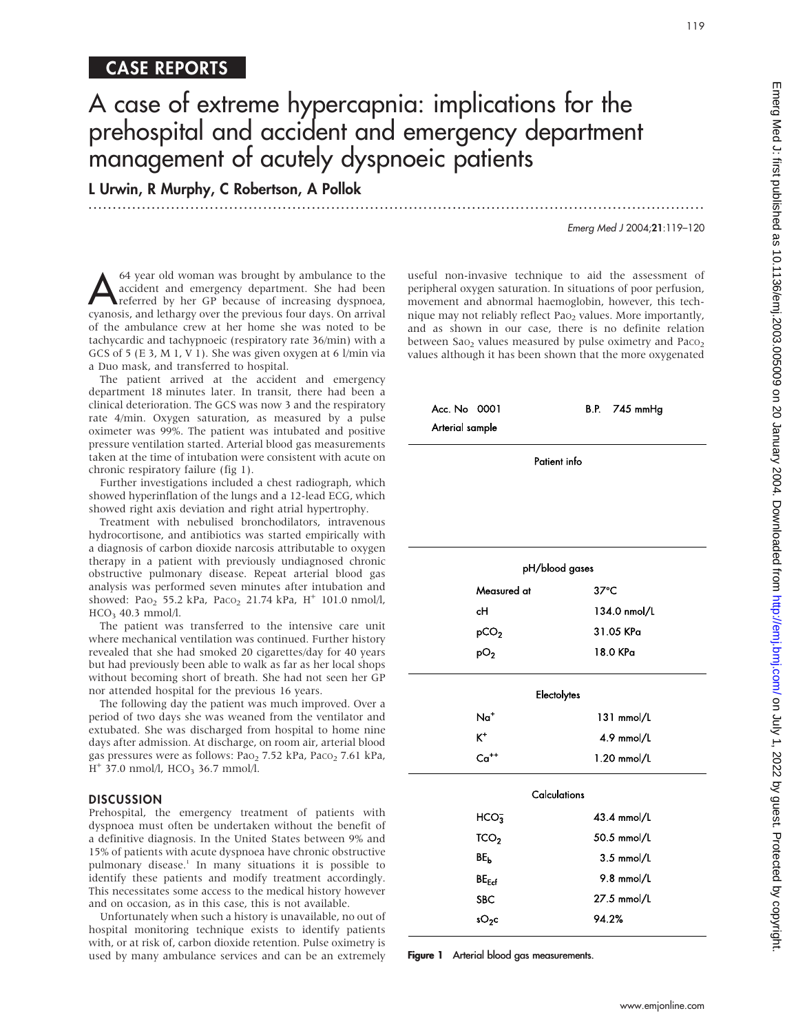## CASE REPORTS

# A case of extreme hypercapnia: implications for the prehospital and accident and emergency department management of acutely dyspnoeic patients

.............................................................................................................................. .

L Urwin, R Murphy, C Robertson, A Pollok

64 year old woman was brought by ambulance to the<br>accident and emergency department. She had been<br>referred by her GP because of increasing dyspnoea,<br>cyanosis, and letharm over the previous four days. On arrival accident and emergency department. She had been cyanosis, and lethargy over the previous four days. On arrival of the ambulance crew at her home she was noted to be tachycardic and tachypnoeic (respiratory rate 36/min) with a GCS of 5 (E 3, M 1, V 1). She was given oxygen at 6 l/min via a Duo mask, and transferred to hospital.

The patient arrived at the accident and emergency department 18 minutes later. In transit, there had been a clinical deterioration. The GCS was now 3 and the respiratory rate 4/min. Oxygen saturation, as measured by a pulse oximeter was 99%. The patient was intubated and positive pressure ventilation started. Arterial blood gas measurements taken at the time of intubation were consistent with acute on chronic respiratory failure (fig 1).

Further investigations included a chest radiograph, which showed hyperinflation of the lungs and a 12-lead ECG, which showed right axis deviation and right atrial hypertrophy.

Treatment with nebulised bronchodilators, intravenous hydrocortisone, and antibiotics was started empirically with a diagnosis of carbon dioxide narcosis attributable to oxygen therapy in a patient with previously undiagnosed chronic obstructive pulmonary disease. Repeat arterial blood gas analysis was performed seven minutes after intubation and showed: Pa $_{2}$  55.2 kPa, Paco<sub>2</sub> 21.74 kPa, H<sup>+</sup> 101.0 nmol/l,  $HCO<sub>3</sub>$  40.3 mmol/l.

The patient was transferred to the intensive care unit where mechanical ventilation was continued. Further history revealed that she had smoked 20 cigarettes/day for 40 years but had previously been able to walk as far as her local shops without becoming short of breath. She had not seen her GP nor attended hospital for the previous 16 years.

The following day the patient was much improved. Over a period of two days she was weaned from the ventilator and extubated. She was discharged from hospital to home nine days after admission. At discharge, on room air, arterial blood gas pressures were as follows: PaO<sub>2</sub> 7.52 kPa, PaCO<sub>2</sub> 7.61 kPa,  $H^+$  37.0 nmol/l, HCO<sub>3</sub> 36.7 mmol/l.

#### **DISCUSSION**

Prehospital, the emergency treatment of patients with dyspnoea must often be undertaken without the benefit of a definitive diagnosis. In the United States between 9% and 15% of patients with acute dyspnoea have chronic obstructive pulmonary disease.1 In many situations it is possible to identify these patients and modify treatment accordingly. This necessitates some access to the medical history however and on occasion, as in this case, this is not available.

Unfortunately when such a history is unavailable, no out of hospital monitoring technique exists to identify patients with, or at risk of, carbon dioxide retention. Pulse oximetry is used by many ambulance services and can be an extremely

useful non-invasive technique to aid the assessment of peripheral oxygen saturation. In situations of poor perfusion, movement and abnormal haemoglobin, however, this technique may not reliably reflect Pao<sub>2</sub> values. More importantly, and as shown in our case, there is no definite relation between  $Sao_2$  values measured by pulse oximetry and  $Paco_2$ values although it has been shown that the more oxygenated

| Acc. No 0001    | B.P. $745 \text{ mmHg}$ |
|-----------------|-------------------------|
| Arterial sample |                         |

| pH/blood gases   |                |  |
|------------------|----------------|--|
| Measured at      | $37^{\circ}$ C |  |
| сH               | 134.0 nmol/L   |  |
| pCO <sub>2</sub> | 31.05 KPa      |  |
| p∪,              | 18.0 KPa       |  |

|                                                             | 119                                                                                                                                                                                                                                                                                                                                                                                                                                                       |
|-------------------------------------------------------------|-----------------------------------------------------------------------------------------------------------------------------------------------------------------------------------------------------------------------------------------------------------------------------------------------------------------------------------------------------------------------------------------------------------------------------------------------------------|
| implications for the<br>nergency department<br>eic patients |                                                                                                                                                                                                                                                                                                                                                                                                                                                           |
|                                                             | Emerg Med J 2004;21:119-120                                                                                                                                                                                                                                                                                                                                                                                                                               |
|                                                             | ful non-invasive technique to aid the assessment of<br>ipheral oxygen saturation. In situations of poor perfusion,<br>vement and abnormal haemoglobin, however, this tech-<br>ue may not reliably reflect Pao <sub>2</sub> values. More importantly,<br>d as shown in our case, there is no definite relation<br>ween Sao <sub>2</sub> values measured by pulse oximetry and Paco <sub>2</sub><br>ues although it has been shown that the more oxygenated |
| Acc. No 0001<br>Arterial sample                             | B.P. 745 mmHg                                                                                                                                                                                                                                                                                                                                                                                                                                             |
|                                                             | Patient info                                                                                                                                                                                                                                                                                                                                                                                                                                              |
|                                                             |                                                                                                                                                                                                                                                                                                                                                                                                                                                           |
|                                                             | pH/blood gases                                                                                                                                                                                                                                                                                                                                                                                                                                            |
| Measured at                                                 | $37^{\circ}$ C                                                                                                                                                                                                                                                                                                                                                                                                                                            |
| сH                                                          | 134.0 nmol/L                                                                                                                                                                                                                                                                                                                                                                                                                                              |
| pCO <sub>2</sub>                                            | 31.05 KPa                                                                                                                                                                                                                                                                                                                                                                                                                                                 |
| pO <sub>2</sub>                                             | 18.0 KPa                                                                                                                                                                                                                                                                                                                                                                                                                                                  |
|                                                             | Electolytes                                                                                                                                                                                                                                                                                                                                                                                                                                               |
| Na <sup>+</sup>                                             | 131 mmol/L                                                                                                                                                                                                                                                                                                                                                                                                                                                |
| $K^+$                                                       | 4.9 mmol/L                                                                                                                                                                                                                                                                                                                                                                                                                                                |
| $Ca++$                                                      | 1.20 mmol/L                                                                                                                                                                                                                                                                                                                                                                                                                                               |
|                                                             | Calculations                                                                                                                                                                                                                                                                                                                                                                                                                                              |
| HCO <sub>3</sub>                                            | 43.4 mmol/L                                                                                                                                                                                                                                                                                                                                                                                                                                               |
| TCO <sub>2</sub>                                            | 50.5 mmol/L                                                                                                                                                                                                                                                                                                                                                                                                                                               |
| BE <sub>b</sub>                                             | $3.5$ mmol/L                                                                                                                                                                                                                                                                                                                                                                                                                                              |
| $BE_{Ecf}$                                                  | 9.8 mmol/L                                                                                                                                                                                                                                                                                                                                                                                                                                                |
| SBC                                                         | 27.5 mmol/L                                                                                                                                                                                                                                                                                                                                                                                                                                               |
| $sO_2c$                                                     | 94.2%                                                                                                                                                                                                                                                                                                                                                                                                                                                     |
| Arterial blood gas measurements.<br>ure 1                   |                                                                                                                                                                                                                                                                                                                                                                                                                                                           |

Figure 1 Arterial blood gas measurements.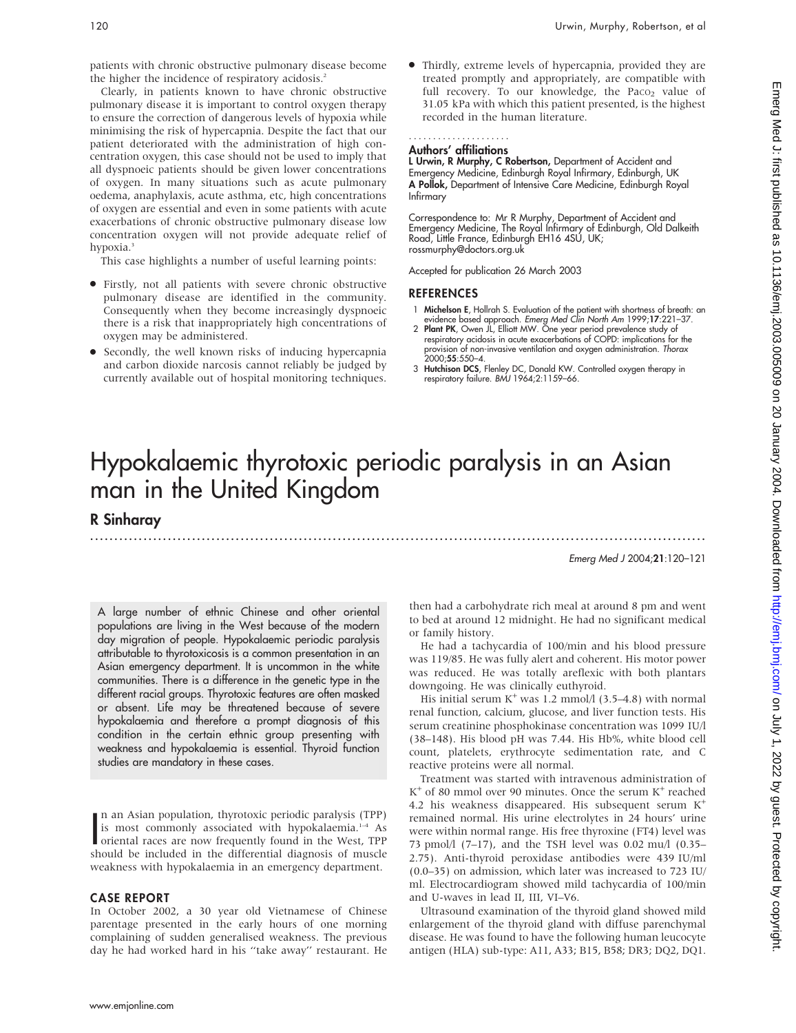patients with chronic obstructive pulmonary disease become the higher the incidence of respiratory acidosis.<sup>2</sup>

Clearly, in patients known to have chronic obstructive pulmonary disease it is important to control oxygen therapy to ensure the correction of dangerous levels of hypoxia while minimising the risk of hypercapnia. Despite the fact that our patient deteriorated with the administration of high concentration oxygen, this case should not be used to imply that all dyspnoeic patients should be given lower concentrations of oxygen. In many situations such as acute pulmonary oedema, anaphylaxis, acute asthma, etc, high concentrations of oxygen are essential and even in some patients with acute exacerbations of chronic obstructive pulmonary disease low concentration oxygen will not provide adequate relief of hypoxia.<sup>3</sup>

This case highlights a number of useful learning points:

- N Firstly, not all patients with severe chronic obstructive pulmonary disease are identified in the community. Consequently when they become increasingly dyspnoeic there is a risk that inappropriately high concentrations of oxygen may be administered.
- N Secondly, the well known risks of inducing hypercapnia and carbon dioxide narcosis cannot reliably be judged by currently available out of hospital monitoring techniques.

Thirdly, extreme levels of hypercapnia, provided they are treated promptly and appropriately, are compatible with full recovery. To our knowledge, the Paco<sub>2</sub> value of 31.05 kPa with which this patient presented, is the highest recorded in the human literature.

#### Authors' affiliations .....................

L Urwin, R Murphy, C Robertson, Department of Accident and Emergency Medicine, Edinburgh Royal Infirmary, Edinburgh, UK A Pollok, Department of Intensive Care Medicine, Edinburgh Royal Infirmary

Correspondence to: Mr R Murphy, Department of Accident and Emergency Medicine, The Royal Infirmary of Edinburgh, Old Dalkeith Road, Little France, Edinburgh EH16 4SU, UK; rossmurphy@doctors.org.uk

Accepted for publication 26 March 2003

#### **REFERENCES**

- 1 Michelson E, Hollrah S. Evaluation of the patient with shortness of breath: an evidence based approach. *Emerg Med Clin North Am* 1999;17:221–37.<br>2 **Plant PK**, Owen JL, Elliott MW. One year period prevalence study of
- respiratory acidosis in acute exacerbations of COPD: implications for the provision of non-invasive ventilation and oxygen administration. Thorax 2000;55:550–4.
- 3 Hutchison DCS, Flenley DC, Donald KW. Controlled oxygen therapy in respiratory failure. BMJ 1964;2:1159–66.

## Hypokalaemic thyrotoxic periodic paralysis in an Asian man in the United Kingdom

.............................................................................................................................. .

R Sinharay

Emerg Med J 2004;21:120–121

A large number of ethnic Chinese and other oriental populations are living in the West because of the modern day migration of people. Hypokalaemic periodic paralysis attributable to thyrotoxicosis is a common presentation in an Asian emergency department. It is uncommon in the white communities. There is a difference in the genetic type in the different racial groups. Thyrotoxic features are often masked or absent. Life may be threatened because of severe hypokalaemia and therefore a prompt diagnosis of this condition in the certain ethnic group presenting with weakness and hypokalaemia is essential. Thyroid function studies are mandatory in these cases.

In an Asian population, thyrotoxic periodic paralysis (TPP)<br>is most commonly associated with hypokalaemia.<sup>1-4</sup> As<br>oriental races are now frequently found in the West, TPP<br>should be included in the differential diagnosis n an Asian population, thyrotoxic periodic paralysis (TPP) is most commonly associated with hypokalaemia.<sup>1-4</sup> As oriental races are now frequently found in the West, TPP weakness with hypokalaemia in an emergency department.

#### CASE REPORT

In October 2002, a 30 year old Vietnamese of Chinese parentage presented in the early hours of one morning complaining of sudden generalised weakness. The previous day he had worked hard in his ''take away'' restaurant. He then had a carbohydrate rich meal at around 8 pm and went to bed at around 12 midnight. He had no significant medical or family history.

He had a tachycardia of 100/min and his blood pressure was 119/85. He was fully alert and coherent. His motor power was reduced. He was totally areflexic with both plantars downgoing. He was clinically euthyroid.

His initial serum  $K^+$  was 1.2 mmol/l (3.5–4.8) with normal renal function, calcium, glucose, and liver function tests. His serum creatinine phosphokinase concentration was 1099 IU/l (38–148). His blood pH was 7.44. His Hb%, white blood cell count, platelets, erythrocyte sedimentation rate, and C reactive proteins were all normal.

Treatment was started with intravenous administration of  $K^+$  of 80 mmol over 90 minutes. Once the serum  $K^+$  reached 4.2 his weakness disappeared. His subsequent serum K<sup>+</sup> remained normal. His urine electrolytes in 24 hours' urine were within normal range. His free thyroxine (FT4) level was 73 pmol/l (7–17), and the TSH level was 0.02 mu/l (0.35– 2.75). Anti-thyroid peroxidase antibodies were 439 IU/ml (0.0–35) on admission, which later was increased to 723 IU/ ml. Electrocardiogram showed mild tachycardia of 100/min and U-waves in lead II, III, VI–V6.

Ultrasound examination of the thyroid gland showed mild enlargement of the thyroid gland with diffuse parenchymal disease. He was found to have the following human leucocyte antigen (HLA) sub-type: A11, A33; B15, B58; DR3; DQ2, DQ1.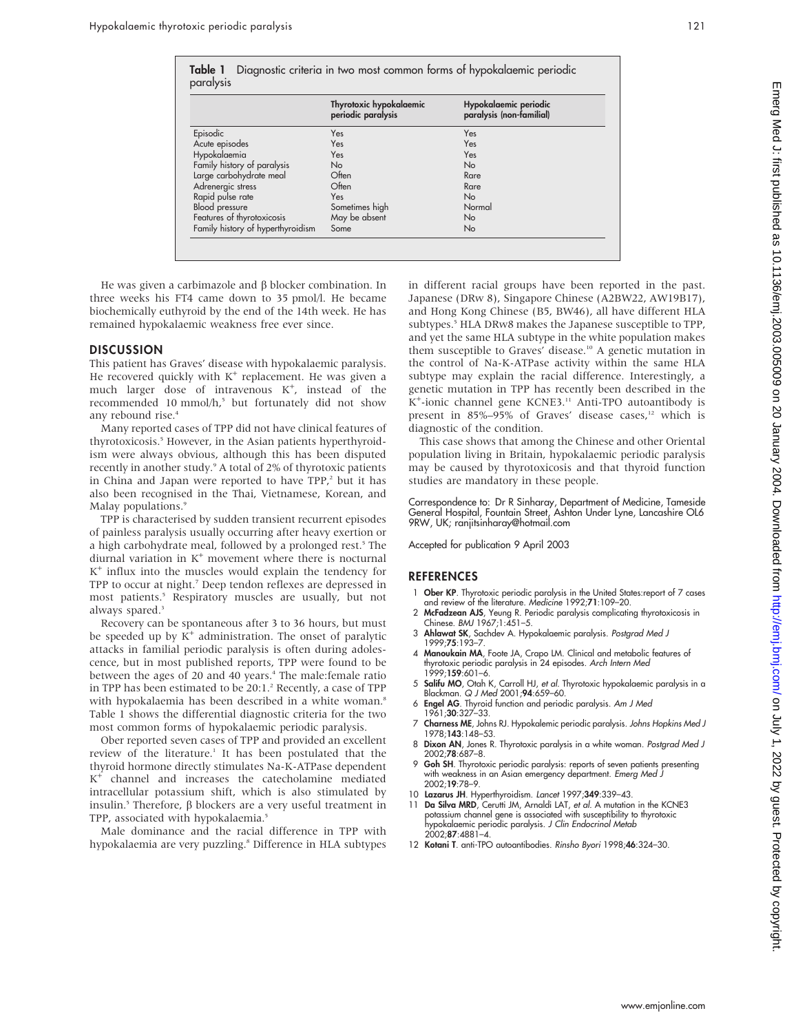|                                   | Thyrotoxic hypokalaemic<br>periodic paralysis | Hypokalaemic periodic<br>paralysis (non-familial) |
|-----------------------------------|-----------------------------------------------|---------------------------------------------------|
| Episodic                          | Yes                                           | Yes                                               |
| Acute episodes                    | Yes                                           | Yes                                               |
| Hypokalaemia                      | Yes                                           | Yes                                               |
| Family history of paralysis       | No                                            | <b>No</b>                                         |
| Large carbohydrate meal           | Often                                         | Rare                                              |
| Adrenergic stress                 | Often                                         | Rare                                              |
| Rapid pulse rate                  | Yes                                           | <b>No</b>                                         |
| <b>Blood</b> pressure             | Sometimes high                                | Normal                                            |
| Features of thyrotoxicosis        | May be absent                                 | No                                                |
| Family history of hyperthyroidism | Some                                          | No                                                |

He was given a carbimazole and  $\beta$  blocker combination. In three weeks his FT4 came down to 35 pmol/l. He became biochemically euthyroid by the end of the 14th week. He has remained hypokalaemic weakness free ever since.

#### **DISCUSSION**

This patient has Graves' disease with hypokalaemic paralysis. He recovered quickly with  $K^+$  replacement. He was given a much larger dose of intravenous K<sup>+</sup>, instead of the recommended 10 mmol/h,<sup>5</sup> but fortunately did not show any rebound rise.<sup>4</sup>

Many reported cases of TPP did not have clinical features of thyrotoxicosis.<sup>5</sup> However, in the Asian patients hyperthyroidism were always obvious, although this has been disputed recently in another study.<sup>9</sup> A total of 2% of thyrotoxic patients in China and Japan were reported to have  $TPP$ , but it has also been recognised in the Thai, Vietnamese, Korean, and Malay populations.<sup>9</sup>

TPP is characterised by sudden transient recurrent episodes of painless paralysis usually occurring after heavy exertion or a high carbohydrate meal, followed by a prolonged rest.<sup>5</sup> The diurnal variation in  $K^+$  movement where there is nocturnal  $K^+$  influx into the muscles would explain the tendency for TPP to occur at night.<sup>7</sup> Deep tendon reflexes are depressed in most patients.5 Respiratory muscles are usually, but not always spared.<sup>3</sup>

Recovery can be spontaneous after 3 to 36 hours, but must be speeded up by  $K^+$  administration. The onset of paralytic attacks in familial periodic paralysis is often during adolescence, but in most published reports, TPP were found to be between the ages of 20 and 40 years.<sup>4</sup> The male:female ratio in TPP has been estimated to be 20:1.<sup>2</sup> Recently, a case of TPP with hypokalaemia has been described in a white woman.<sup>8</sup> Table 1 shows the differential diagnostic criteria for the two most common forms of hypokalaemic periodic paralysis.

Ober reported seven cases of TPP and provided an excellent review of the literature.<sup>1</sup> It has been postulated that the thyroid hormone directly stimulates Na-K-ATPase dependent K<sup>+</sup> channel and increases the catecholamine mediated intracellular potassium shift, which is also stimulated by insulin.<sup>5</sup> Therefore,  $\beta$  blockers are a very useful treatment in TPP, associated with hypokalaemia.<sup>5</sup>

Male dominance and the racial difference in TPP with hypokalaemia are very puzzling.<sup>8</sup> Difference in HLA subtypes in different racial groups have been reported in the past. Japanese (DRw 8), Singapore Chinese (A2BW22, AW19B17), and Hong Kong Chinese (B5, BW46), all have different HLA subtypes.<sup>5</sup> HLA DRw8 makes the Japanese susceptible to TPP, and yet the same HLA subtype in the white population makes them susceptible to Graves' disease.<sup>10</sup> A genetic mutation in the control of Na-K-ATPase activity within the same HLA subtype may explain the racial difference. Interestingly, a genetic mutation in TPP has recently been described in the K<sup>+</sup>-ionic channel gene KCNE3.<sup>11</sup> Anti-TPO autoantibody is present in 85%–95% of Graves' disease cases,<sup>12</sup> which is diagnostic of the condition.

This case shows that among the Chinese and other Oriental population living in Britain, hypokalaemic periodic paralysis may be caused by thyrotoxicosis and that thyroid function studies are mandatory in these people.

Correspondence to: Dr R Sinharay, Department of Medicine, Tameside General Hospital, Fountain Street, Ashton Under Lyne, Lancashire OL6 9RW, UK; ranjitsinharay@hotmail.com

Accepted for publication 9 April 2003

#### **REFERENCES**

- 1 Ober KP. Thyrotoxic periodic paralysis in the United States: report of 7 cases and review of the literature. Medicine 1992;71:109–20.
- 2 McFadzean AJS, Yeung R. Periodic paralysis complicating thyrotoxicosis in Chinese. BMJ 1967;1:451–5.
- 3 Ahlawat SK, Sachdev A. Hypokalaemic paralysis. Postgrad Med J 1999;75:193–7.
- 4 Manoukain MA, Foote JA, Crapo LM. Clinical and metabolic features of thyrotoxic periodic paralysis in 24 episodes. Arch Intern Med 1999;159:601–6.
- 5 **Salifu MO**, Otah K, Carroll HJ, *et al.* Thyrotoxic hypokalaemic paralysis in c<br>Blackman. Q J Med 2001;**94**:659–60.
- 6 Engel AG. Thyroid function and periodic paralysis. Am J Med 1961;30:327–33.
- 7 Charness ME, Johns RJ. Hypokalemic periodic paralysis. Johns Hopkins Med J 1978;143:148–53.
- 8 Dixon AN, Jones R. Thyrotoxic paralysis in a white woman. Postgrad Med J 2002;78:687–8.
- 9 Goh SH. Thyrotoxic periodic paralysis: reports of seven patients presenting with weakness in an Asian emergency department. Emerg Med J 2002;19:78–9.
- 10 Lazarus JH. Hyperthyroidism. Lancet 1997;349:339–43.
- 11 Da Silva MRD, Cerutti JM, Arnaldi LAT, et al. A mutation in the KCNE3 potassium channel gene is associated with susceptibility to thyrotoxic hypokalaemic periodic paralysis. J Clin Endocrinol Metab 2002;87:4881–4.
- 12 Kotani T. anti-TPO autoantibodies. Rinsho Byori 1998;46:324–30.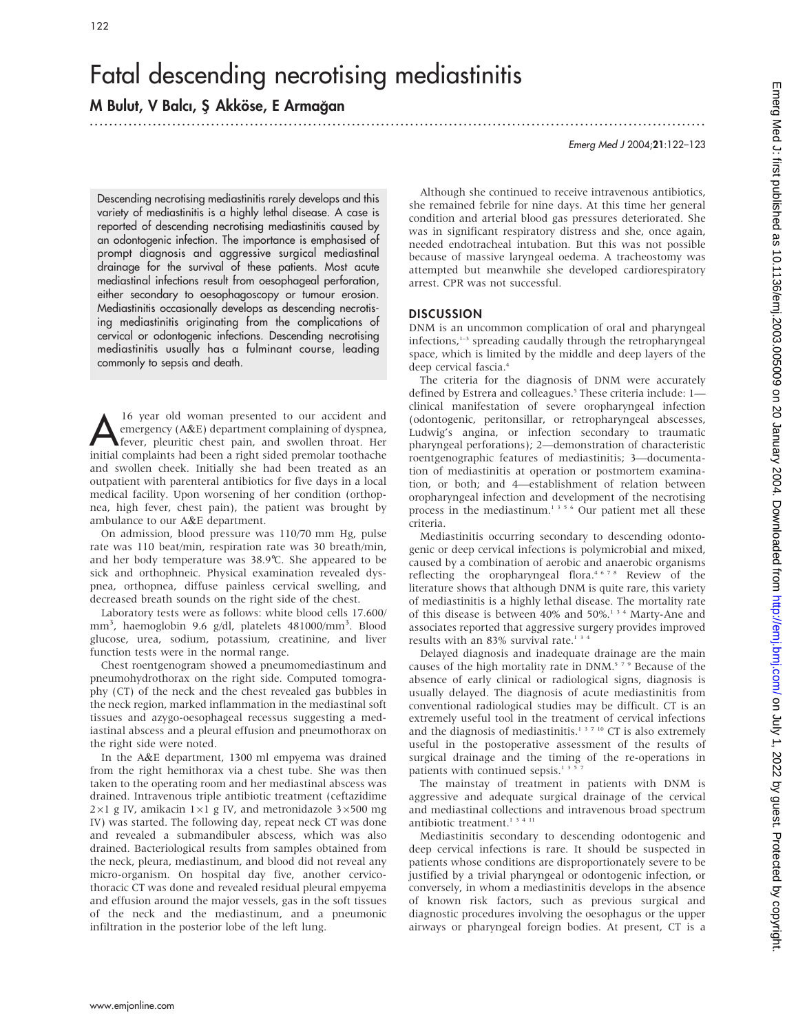# Fatal descending necrotising mediastinitis

## M Bulut, V Balcı, Ş Akköse, E Armağan

Emerg Med J 2004;21:122–123

Descending necrotising mediastinitis rarely develops and this variety of mediastinitis is a highly lethal disease. A case is reported of descending necrotising mediastinitis caused by an odontogenic infection. The importance is emphasised of prompt diagnosis and aggressive surgical mediastinal drainage for the survival of these patients. Most acute mediastinal infections result from oesophageal perforation, either secondary to oesophagoscopy or tumour erosion. Mediastinitis occasionally develops as descending necrotising mediastinitis originating from the complications of cervical or odontogenic infections. Descending necrotising mediastinitis usually has a fulminant course, leading commonly to sepsis and death.

16 year old woman presented to our accident and<br>
emergency (A&E) department complaining of dyspnea,<br>
fever, pleuritic chest pain, and swollen throat. Her emergency (A&E) department complaining of dyspnea, initial complaints had been a right sided premolar toothache and swollen cheek. Initially she had been treated as an outpatient with parenteral antibiotics for five days in a local medical facility. Upon worsening of her condition (orthopnea, high fever, chest pain), the patient was brought by ambulance to our A&E department.

On admission, blood pressure was 110/70 mm Hg, pulse rate was 110 beat/min, respiration rate was 30 breath/min, and her body temperature was 38.9˚C. She appeared to be sick and orthophneic. Physical examination revealed dyspnea, orthopnea, diffuse painless cervical swelling, and decreased breath sounds on the right side of the chest.

Laboratory tests were as follows: white blood cells 17.600/ mm<sup>3</sup>, haemoglobin 9.6 g/dl, platelets 481000/mm<sup>3</sup>. Blood glucose, urea, sodium, potassium, creatinine, and liver function tests were in the normal range.

Chest roentgenogram showed a pneumomediastinum and pneumohydrothorax on the right side. Computed tomography (CT) of the neck and the chest revealed gas bubbles in the neck region, marked inflammation in the mediastinal soft tissues and azygo-oesophageal recessus suggesting a mediastinal abscess and a pleural effusion and pneumothorax on the right side were noted.

In the A&E department, 1300 ml empyema was drained from the right hemithorax via a chest tube. She was then taken to the operating room and her mediastinal abscess was drained. Intravenous triple antibiotic treatment (ceftazidime  $2\times1$  g IV, amikacin  $1\times1$  g IV, and metronidazole  $3\times500$  mg IV) was started. The following day, repeat neck CT was done and revealed a submandibuler abscess, which was also drained. Bacteriological results from samples obtained from the neck, pleura, mediastinum, and blood did not reveal any micro-organism. On hospital day five, another cervicothoracic CT was done and revealed residual pleural empyema and effusion around the major vessels, gas in the soft tissues of the neck and the mediastinum, and a pneumonic infiltration in the posterior lobe of the left lung.

Although she continued to receive intravenous antibiotics, she remained febrile for nine days. At this time her general condition and arterial blood gas pressures deteriorated. She was in significant respiratory distress and she, once again, needed endotracheal intubation. But this was not possible because of massive laryngeal oedema. A tracheostomy was attempted but meanwhile she developed cardiorespiratory arrest. CPR was not successful.

#### **DISCUSSION**

.............................................................................................................................. .

DNM is an uncommon complication of oral and pharyngeal infections,<sup>1-3</sup> spreading caudally through the retropharyngeal space, which is limited by the middle and deep layers of the deep cervical fascia.4

The criteria for the diagnosis of DNM were accurately defined by Estrera and colleagues.<sup>5</sup> These criteria include: 1clinical manifestation of severe oropharyngeal infection (odontogenic, peritonsillar, or retropharyngeal abscesses, Ludwig's angina, or infection secondary to traumatic pharyngeal perforations); 2—demonstration of characteristic roentgenographic features of mediastinitis; 3—documentation of mediastinitis at operation or postmortem examination, or both; and 4—establishment of relation between oropharyngeal infection and development of the necrotising process in the mediastinum.<sup>1356</sup> Our patient met all these criteria.

Mediastinitis occurring secondary to descending odontogenic or deep cervical infections is polymicrobial and mixed, caused by a combination of aerobic and anaerobic organisms reflecting the oropharyngeal flora.4678 Review of the literature shows that although DNM is quite rare, this variety of mediastinitis is a highly lethal disease. The mortality rate of this disease is between 40% and 50%.134 Marty-Ane and associates reported that aggressive surgery provides improved results with an 83% survival rate.<sup>134</sup>

Delayed diagnosis and inadequate drainage are the main causes of the high mortality rate in DNM.<sup>579</sup> Because of the absence of early clinical or radiological signs, diagnosis is usually delayed. The diagnosis of acute mediastinitis from conventional radiological studies may be difficult. CT is an extremely useful tool in the treatment of cervical infections and the diagnosis of mediastinitis.<sup>1 3 7 10</sup> CT is also extremely useful in the postoperative assessment of the results of surgical drainage and the timing of the re-operations in patients with continued sepsis.<sup>135</sup>

The mainstay of treatment in patients with DNM is aggressive and adequate surgical drainage of the cervical and mediastinal collections and intravenous broad spectrum antibiotic treatment.<sup>13411</sup>

Mediastinitis secondary to descending odontogenic and deep cervical infections is rare. It should be suspected in patients whose conditions are disproportionately severe to be justified by a trivial pharyngeal or odontogenic infection, or conversely, in whom a mediastinitis develops in the absence of known risk factors, such as previous surgical and diagnostic procedures involving the oesophagus or the upper airways or pharyngeal foreign bodies. At present, CT is a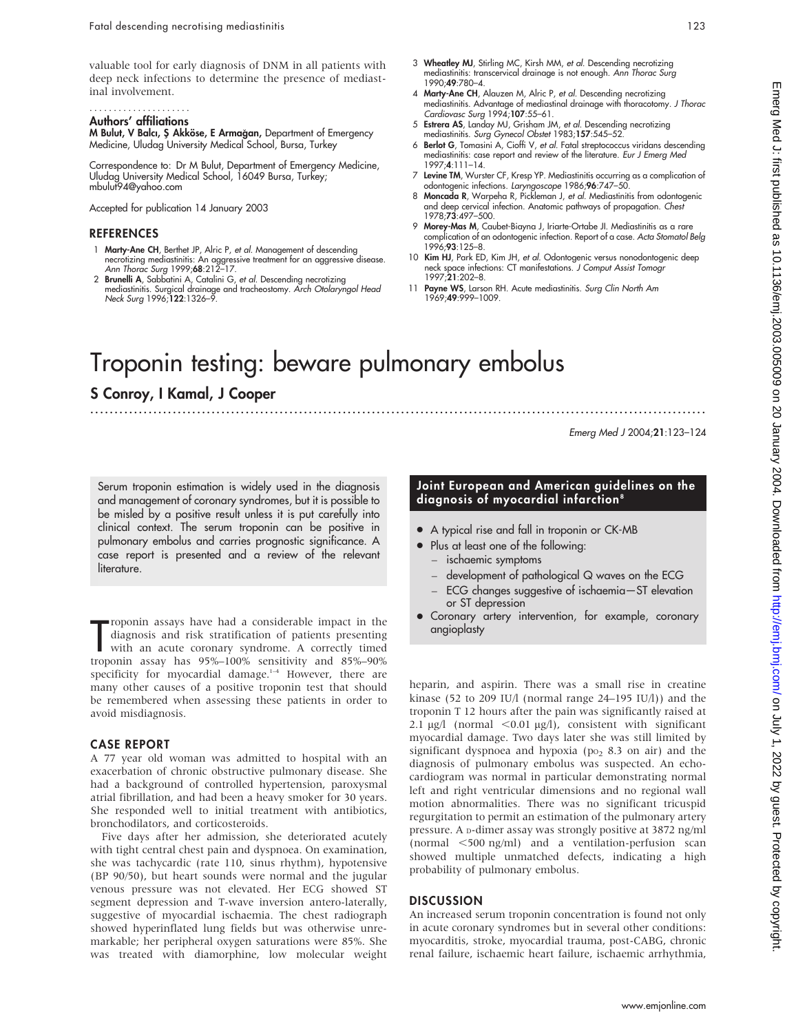valuable tool for early diagnosis of DNM in all patients with deep neck infections to determine the presence of mediastinal involvement.

#### Authors' affiliations .....................

**M Bulut, V Balcı, Ş Akköse, E Armağan,** Department of Emergency Medicine, Uludag University Medical School, Bursa, Turkey

Correspondence to: Dr M Bulut, Department of Emergency Medicine, Uludag University Medical School, 16049 Bursa, Turkey; mbulut94@yahoo.com

Accepted for publication 14 January 2003

#### **REFERENCES**

- 1 Marty-Ane CH, Berthet JP, Alric P, et al. Management of descending necrotizing mediastinitis: An aggressive treatment for an aggressive disease. Ann Thorac Surg 1999;68:212–17.
- 2 Brunelli A, Sabbatini A, Catalini G, et al. Descending necrotizing mediastinitis. Surgical drainage and tracheostomy. Arch Otolaryngol Head Neck Surg 1996;122:1326–9.
- 3 Wheatley MJ, Stirling MC, Kirsh MM, et al. Descending necrotizing mediastinitis: transcervical drainage is not enough. Ann Thorac Surg 1990;49:780–4.
- 4 Marty-Ane CH, Alauzen M, Alric P, et al. Descending necrotizing mediastinitis. Advantage of mediastinal drainage with thoracotomy. J Thorac Cardiovasc Surg 1994;107:55–61. 5 Estrera AS, Landay MJ, Grisham JM, et al. Descending necrotizing
- mediastinitis. Surg Gynecol Obstet 1983;157:545-52.
- 6 Berlot G, Tomasini A, Cioffi V, et al. Fatal streptococcus viridans descending mediastinitis: case report and review of the literature. Eur J Emerg Med 1997;4:111–14.
- 7 Levine TM, Wurster CF, Kresp YP. Mediastinitis occurring as a complication of odontogenic infections. Laryngoscope 1986;96:747–50.
- 8 Moncada R, Warpeha R, Pickleman J, et al. Mediastinitis from odontogenic and deep cervical infection. Anatomic pathways of propagation. Chest 1978;73:497–500.
- 9 Morey-Mas M, Caubet-Biayna J, Iriarte-Ortabe JI. Mediastinitis as a rare complication of an odontogenic infection. Report of a case. Acta Stomatol Belg 1996;93:125–8.
- 10 Kim HJ, Park ED, Kim JH, et al. Odontogenic versus nonodontogenic deep neck space infections: CT manifestations. J Comput Assist Tomogr 1997;21:202–8.
- 11 Payne WS, Larson RH. Acute mediastinitis. Surg Clin North Am 1969;49:999–1009.

# Troponin testing: beware pulmonary embolus

### S Conroy, I Kamal, J Cooper

Emerg Med J 2004;21:123–124

Serum troponin estimation is widely used in the diagnosis and management of coronary syndromes, but it is possible to be misled by a positive result unless it is put carefully into clinical context. The serum troponin can be positive in pulmonary embolus and carries prognostic significance. A case report is presented and a review of the relevant literature.

roponin assays have nad a considerable impact in the<br>diagnosis and risk stratification of patients presenting<br>with an acute coronary syndrome. A correctly timed<br>troponin assay has 95%–100% sensitivity and 85%–90% roponin assays have had a considerable impact in the diagnosis and risk stratification of patients presenting with an acute coronary syndrome. A correctly timed specificity for myocardial damage. $1-4$  However, there are many other causes of a positive troponin test that should be remembered when assessing these patients in order to avoid misdiagnosis.

#### CASE REPORT

A 77 year old woman was admitted to hospital with an exacerbation of chronic obstructive pulmonary disease. She had a background of controlled hypertension, paroxysmal atrial fibrillation, and had been a heavy smoker for 30 years. She responded well to initial treatment with antibiotics, bronchodilators, and corticosteroids.

Five days after her admission, she deteriorated acutely with tight central chest pain and dyspnoea. On examination, she was tachycardic (rate 110, sinus rhythm), hypotensive (BP 90/50), but heart sounds were normal and the jugular venous pressure was not elevated. Her ECG showed ST segment depression and T-wave inversion antero-laterally, suggestive of myocardial ischaemia. The chest radiograph showed hyperinflated lung fields but was otherwise unremarkable; her peripheral oxygen saturations were 85%. She was treated with diamorphine, low molecular weight

#### Joint European and American guidelines on the diagnosis of myocardial infarction<sup>8</sup>

- A typical rise and fall in troponin or CK-MB
- Plus at least one of the following:
	- ischaemic symptoms

.............................................................................................................................. .

- development of pathological Q waves on the ECG
- ECG changes suggestive of ischaemia—ST elevation or ST depression
- Coronary artery intervention, for example, coronary angioplasty

heparin, and aspirin. There was a small rise in creatine kinase (52 to 209 IU/l (normal range 24–195 IU/l)) and the troponin T 12 hours after the pain was significantly raised at 2.1  $\mu$ g/l (normal <0.01  $\mu$ g/l), consistent with significant myocardial damage. Two days later she was still limited by significant dyspnoea and hypoxia ( $po<sub>2</sub>$  8.3 on air) and the diagnosis of pulmonary embolus was suspected. An echocardiogram was normal in particular demonstrating normal left and right ventricular dimensions and no regional wall motion abnormalities. There was no significant tricuspid regurgitation to permit an estimation of the pulmonary artery pressure. A D-dimer assay was strongly positive at 3872 ng/ml (normal  $\leq 500$  ng/ml) and a ventilation-perfusion scan showed multiple unmatched defects, indicating a high probability of pulmonary embolus.

#### **DISCUSSION**

An increased serum troponin concentration is found not only in acute coronary syndromes but in several other conditions: myocarditis, stroke, myocardial trauma, post-CABG, chronic renal failure, ischaemic heart failure, ischaemic arrhythmia,

www.emjonline.com